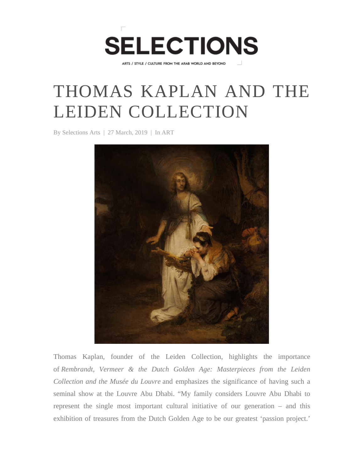

ARTS / STYLE / CULTURE FROM THE ARAB WORLD AND BEYOND

## THOMAS KAPLAN AND THE LEIDEN COLLECTION

By Selections Arts | 27 March, 2019 | In ART



Thomas Kaplan, founder of the Leiden Collection, highlights the importance of *Rembrandt, Vermeer & the Dutch Golden Age: Masterpieces from the Leiden Collection and the Musée du Louvre* and emphasizes the significance of having such a seminal show at the Louvre Abu Dhabi. "My family considers Louvre Abu Dhabi to represent the single most important cultural initiative of our generation – and this exhibition of treasures from the Dutch Golden Age to be our greatest 'passion project.'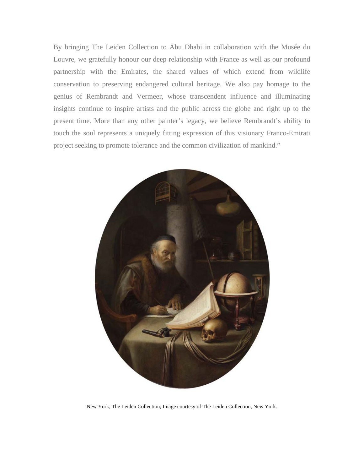By bringing The Leiden Collection to Abu Dhabi in collaboration with the Musée du Louvre, we gratefully honour our deep relationship with France as well as our profound partnership with the Emirates, the shared values of which extend from wildlife conservation to preserving endangered cultural heritage. We also pay homage to the genius of Rembrandt and Vermeer, whose transcendent influence and illuminating insights continue to inspire artists and the public across the globe and right up to the present time. More than any other painter's legacy, we believe Rembrandt's ability to touch the soul represents a uniquely fitting expression of this visionary Franco-Emirati project seeking to promote tolerance and the common civilization of mankind."



New York, The Leiden Collection, Image courtesy of The Leiden Collection, New York.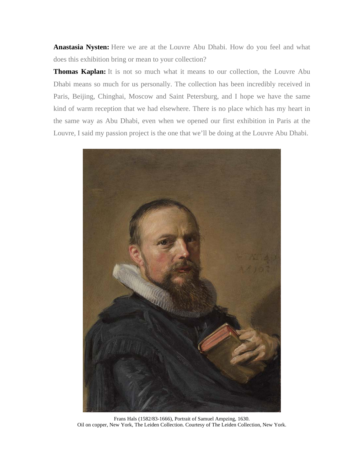**Anastasia Nysten:** Here we are at the Louvre Abu Dhabi. How do you feel and what does this exhibition bring or mean to your collection?

**Thomas Kaplan:** It is not so much what it means to our collection, the Louvre Abu Dhabi means so much for us personally. The collection has been incredibly received in Paris, Beijing, Chinghai, Moscow and Saint Petersburg, and I hope we have the same kind of warm reception that we had elsewhere. There is no place which has my heart in the same way as Abu Dhabi, even when we opened our first exhibition in Paris at the Louvre, I said my passion project is the one that we'll be doing at the Louvre Abu Dhabi.



Frans Hals (1582/83-1666), Portrait of Samuel Ampzing, 1630. Oil on copper, New York, The Leiden Collection. Courtesy of The Leiden Collection, New York.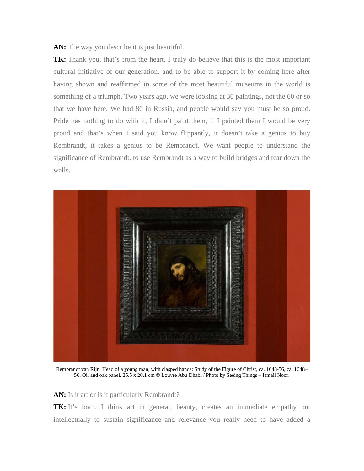**AN:** The way you describe it is just beautiful.

**TK:** Thank you, that's from the heart. I truly do believe that this is the most important cultural initiative of our generation, and to be able to support it by coming here after having shown and reaffirmed in some of the most beautiful museums in the world is something of a triumph. Two years ago, we were looking at 30 paintings, not the 60 or so that we have here. We had 80 in Russia, and people would say you must be so proud. Pride has nothing to do with it, I didn't paint them, if I painted them I would be very proud and that's when I said you know flippantly, it doesn't take a genius to buy Rembrandt, it takes a genius to be Rembrandt. We want people to understand the significance of Rembrandt, to use Rembrandt as a way to build bridges and tear down the walls.



Rembrandt van Rijn, Head of a young man, with clasped hands: Study of the Figure of Christ, ca. 1648-56, ca. 1648– 56, Oil and oak panel, 25.5 x 20.1 cm © Louvre Abu Dhabi / Photo by Seeing Things – Ismail Noor.

AN: Is it art or is it particularly Rembrandt?

**TK:** It's both. I think art in general, beauty, creates an immediate empathy but intellectually to sustain significance and relevance you really need to have added a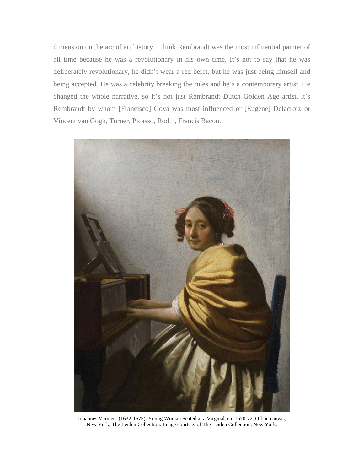dimension on the arc of art history. I think Rembrandt was the most influential painter of all time because he was a revolutionary in his own time. It's not to say that he was deliberately revolutionary, he didn't wear a red beret, but he was just being himself and being accepted. He was a celebrity breaking the rules and he's a contemporary artist. He changed the whole narrative, so it's not just Rembrandt Dutch Golden Age artist, it's Rembrandt by whom [Francisco] Goya was most influenced or [Eugène] Delacroix or Vincent van Gogh, Turner, Picasso, Rodin, Francis Bacon.



Johannes Vermeer (1632-1675), Young Woman Seated at a Virginal, ca. 1670-72, Oil on canvas, New York, The Leiden Collection. Image courtesy of The Leiden Collection, New York.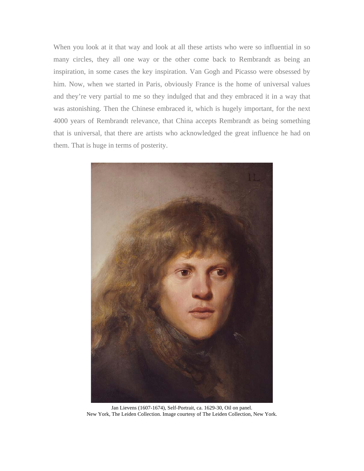When you look at it that way and look at all these artists who were so influential in so many circles, they all one way or the other come back to Rembrandt as being an inspiration, in some cases the key inspiration. Van Gogh and Picasso were obsessed by him. Now, when we started in Paris, obviously France is the home of universal values and they're very partial to me so they indulged that and they embraced it in a way that was astonishing. Then the Chinese embraced it, which is hugely important, for the next 4000 years of Rembrandt relevance, that China accepts Rembrandt as being something that is universal, that there are artists who acknowledged the great influence he had on them. That is huge in terms of posterity.



Jan Lievens (1607-1674), Self-Portrait, ca. 1629-30, Oil on panel. New York, The Leiden Collection. Image courtesy of The Leiden Collection, New York.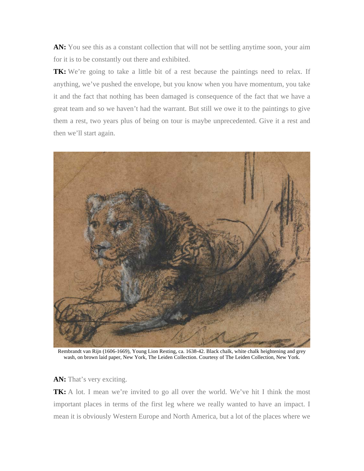AN: You see this as a constant collection that will not be settling anytime soon, your aim for it is to be constantly out there and exhibited.

**TK:** We're going to take a little bit of a rest because the paintings need to relax. If anything, we've pushed the envelope, but you know when you have momentum, you take it and the fact that nothing has been damaged is consequence of the fact that we have a great team and so we haven't had the warrant. But still we owe it to the paintings to give them a rest, two years plus of being on tour is maybe unprecedented. Give it a rest and then we'll start again.



Rembrandt van Rijn (1606-1669), Young Lion Resting, ca. 1638-42. Black chalk, white chalk heightening and grey wash, on brown laid paper, New York, The Leiden Collection. Courtesy of The Leiden Collection, New York.

AN: That's very exciting.

**TK:** A lot. I mean we're invited to go all over the world. We've hit I think the most important places in terms of the first leg where we really wanted to have an impact. I mean it is obviously Western Europe and North America, but a lot of the places where we